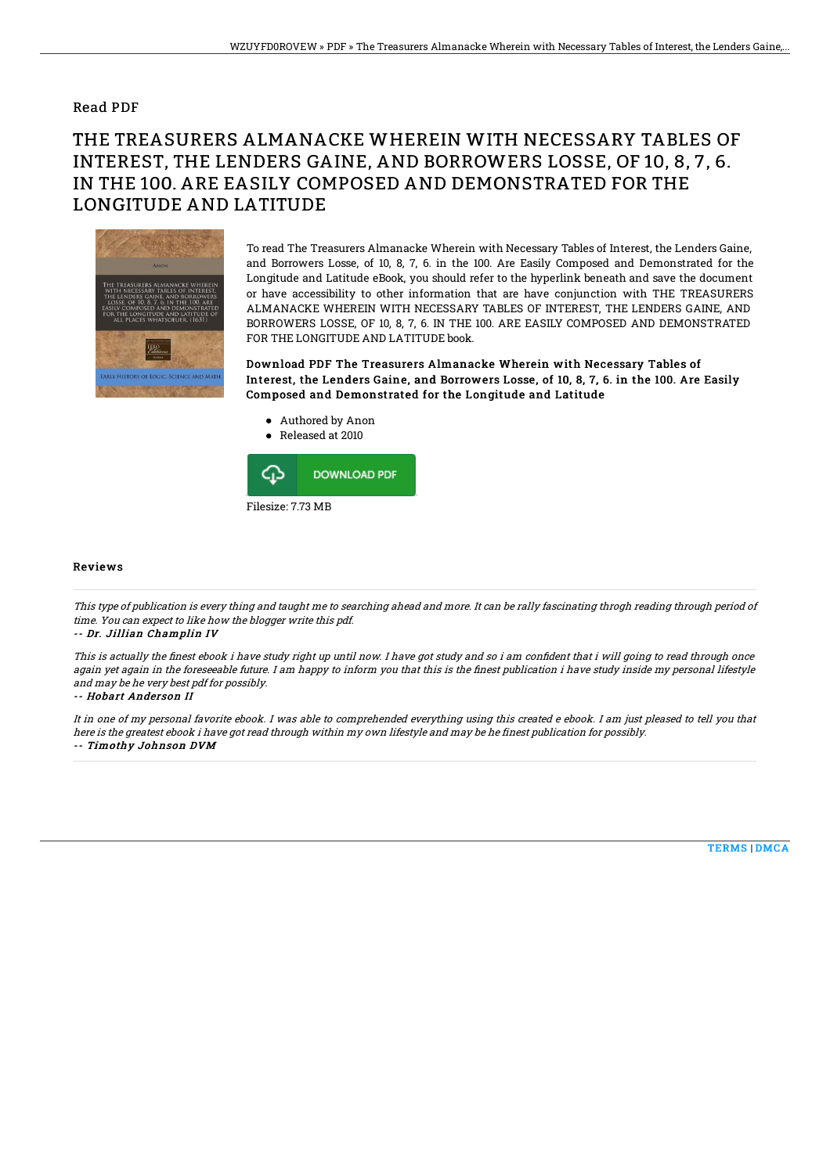### Read PDF

# THE TREASURERS ALMANACKE WHEREIN WITH NECESSARY TABLES OF INTEREST, THE LENDERS GAINE, AND BORROWERS LOSSE, OF 10, 8, 7, 6. IN THE 100. ARE EASILY COMPOSED AND DEMONSTRATED FOR THE LONGITUDE AND LATITUDE



To read The Treasurers Almanacke Wherein with Necessary Tables of Interest, the Lenders Gaine, and Borrowers Losse, of 10, 8, 7, 6. in the 100. Are Easily Composed and Demonstrated for the Longitude and Latitude eBook, you should refer to the hyperlink beneath and save the document or have accessibility to other information that are have conjunction with THE TREASURERS ALMANACKE WHEREIN WITH NECESSARY TABLES OF INTEREST, THE LENDERS GAINE, AND BORROWERS LOSSE, OF 10, 8, 7, 6. IN THE 100. ARE EASILY COMPOSED AND DEMONSTRATED FOR THE LONGITUDE AND LATITUDE book.

Download PDF The Treasurers Almanacke Wherein with Necessary Tables of Interest, the Lenders Gaine, and Borrowers Losse, of 10, 8, 7, 6. in the 100. Are Easily Composed and Demonstrated for the Longitude and Latitude

- Authored by Anon
- Released at 2010



#### Reviews

This type of publication is every thing and taught me to searching ahead and more. It can be rally fascinating throgh reading through period of time. You can expect to like how the blogger write this pdf.

#### -- Dr. Jillian Champlin IV

This is actually the finest ebook i have study right up until now. I have got study and so i am confident that i will going to read through once again yet again in the foreseeable future. I am happy to inform you that this is the finest publication i have study inside my personal lifestyle and may be he very best pdf for possibly.

### -- Hobart Anderson II

It in one of my personal favorite ebook. I was able to comprehended everything using this created <sup>e</sup> ebook. I am just pleased to tell you that here is the greatest ebook i have got read through within my own lifestyle and may be he finest publication for possibly. -- Timothy Johnson DVM